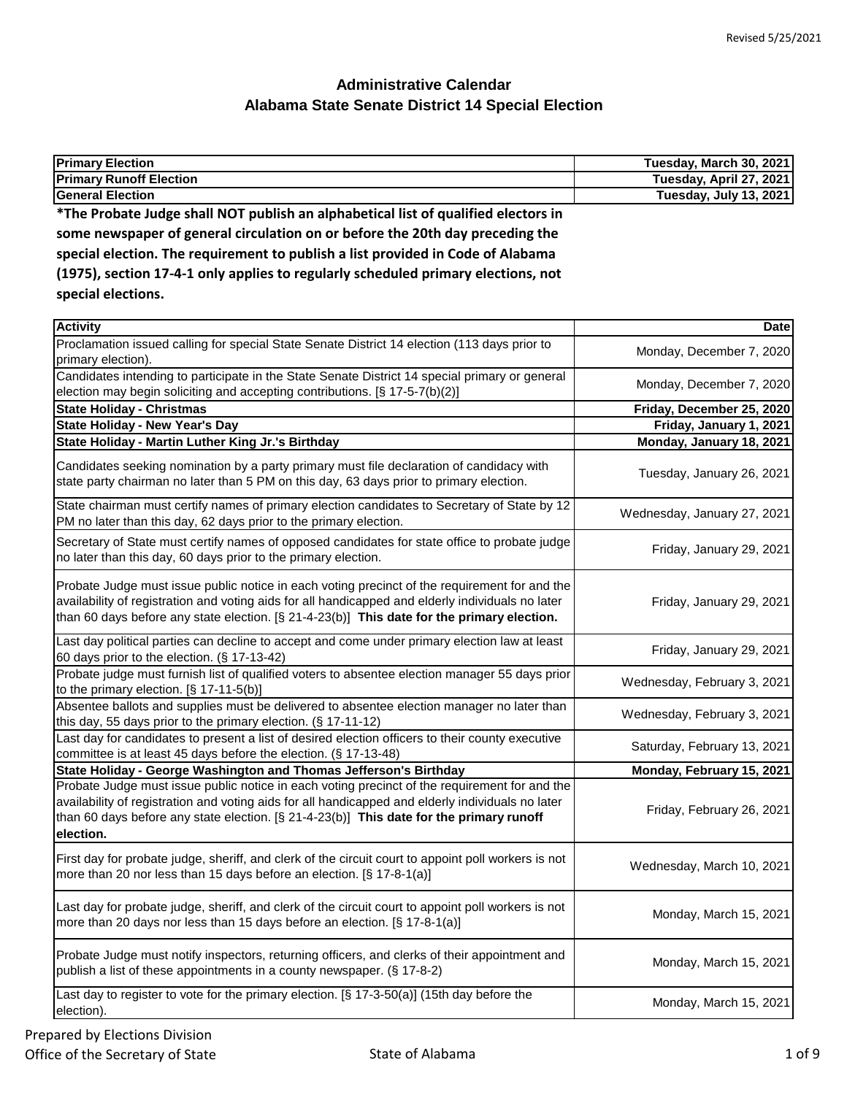| <b>Primary Election</b>                                                            | Tuesday, March 30, 2021 |
|------------------------------------------------------------------------------------|-------------------------|
| <b>Primary Runoff Election</b>                                                     | Tuesday, April 27, 2021 |
| <b>General Election</b>                                                            | Tuesday, July 13, 2021  |
| *The Probate Judge shall NOT publish an alphabetical list of qualified electors in |                         |

**some newspaper of general circulation on or before the 20th day preceding the special election. The requirement to publish a list provided in Code of Alabama (1975), section 17-4-1 only applies to regularly scheduled primary elections, not special elections.**

| <b>Activity</b>                                                                                                                                                                                                                                                                                            | <b>Date</b>                 |
|------------------------------------------------------------------------------------------------------------------------------------------------------------------------------------------------------------------------------------------------------------------------------------------------------------|-----------------------------|
| Proclamation issued calling for special State Senate District 14 election (113 days prior to<br>primary election).                                                                                                                                                                                         | Monday, December 7, 2020    |
| Candidates intending to participate in the State Senate District 14 special primary or general<br>election may begin soliciting and accepting contributions. [§ 17-5-7(b)(2)]                                                                                                                              | Monday, December 7, 2020    |
| <b>State Holiday - Christmas</b>                                                                                                                                                                                                                                                                           | Friday, December 25, 2020   |
| <b>State Holiday - New Year's Day</b>                                                                                                                                                                                                                                                                      | Friday, January 1, 2021     |
| State Holiday - Martin Luther King Jr.'s Birthday                                                                                                                                                                                                                                                          | Monday, January 18, 2021    |
| Candidates seeking nomination by a party primary must file declaration of candidacy with<br>state party chairman no later than 5 PM on this day, 63 days prior to primary election.                                                                                                                        | Tuesday, January 26, 2021   |
| State chairman must certify names of primary election candidates to Secretary of State by 12<br>PM no later than this day, 62 days prior to the primary election.                                                                                                                                          | Wednesday, January 27, 2021 |
| Secretary of State must certify names of opposed candidates for state office to probate judge<br>no later than this day, 60 days prior to the primary election.                                                                                                                                            | Friday, January 29, 2021    |
| Probate Judge must issue public notice in each voting precinct of the requirement for and the<br>availability of registration and voting aids for all handicapped and elderly individuals no later<br>than 60 days before any state election. $[\S 21-4-23(b)]$ This date for the primary election.        | Friday, January 29, 2021    |
| Last day political parties can decline to accept and come under primary election law at least<br>60 days prior to the election. (§ 17-13-42)                                                                                                                                                               | Friday, January 29, 2021    |
| Probate judge must furnish list of qualified voters to absentee election manager 55 days prior<br>to the primary election. [§ 17-11-5(b)]                                                                                                                                                                  | Wednesday, February 3, 2021 |
| Absentee ballots and supplies must be delivered to absentee election manager no later than<br>this day, 55 days prior to the primary election. (§ 17-11-12)                                                                                                                                                | Wednesday, February 3, 2021 |
| Last day for candidates to present a list of desired election officers to their county executive<br>committee is at least 45 days before the election. (§ 17-13-48)                                                                                                                                        | Saturday, February 13, 2021 |
| State Holiday - George Washington and Thomas Jefferson's Birthday                                                                                                                                                                                                                                          | Monday, February 15, 2021   |
| Probate Judge must issue public notice in each voting precinct of the requirement for and the<br>availability of registration and voting aids for all handicapped and elderly individuals no later<br>than 60 days before any state election. [§ 21-4-23(b)] This date for the primary runoff<br>election. | Friday, February 26, 2021   |
| First day for probate judge, sheriff, and clerk of the circuit court to appoint poll workers is not<br>more than 20 nor less than 15 days before an election. [§ 17-8-1(a)]                                                                                                                                | Wednesday, March 10, 2021   |
| Last day for probate judge, sheriff, and clerk of the circuit court to appoint poll workers is not<br>more than 20 days nor less than 15 days before an election. [§ 17-8-1(a)]                                                                                                                            | Monday, March 15, 2021      |
| Probate Judge must notify inspectors, returning officers, and clerks of their appointment and<br>publish a list of these appointments in a county newspaper. (§ 17-8-2)                                                                                                                                    | Monday, March 15, 2021      |
| Last day to register to vote for the primary election. [§ 17-3-50(a)] (15th day before the<br>election).                                                                                                                                                                                                   | Monday, March 15, 2021      |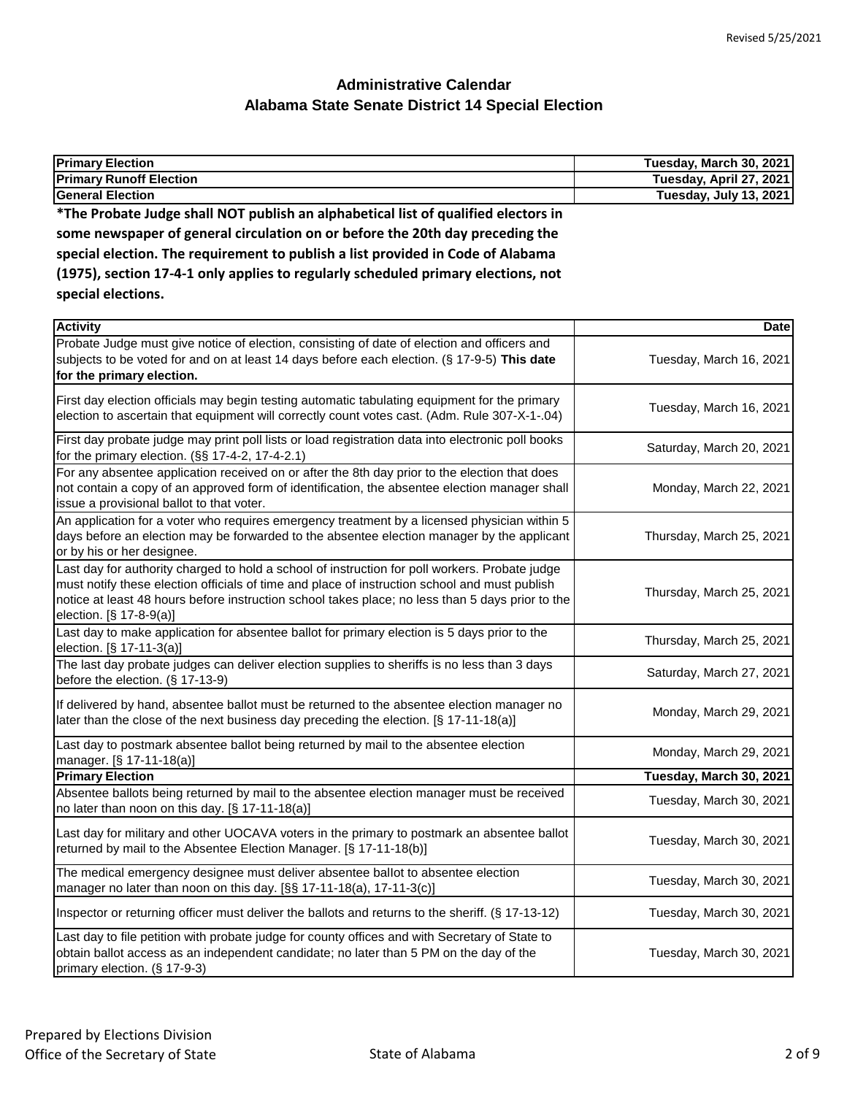| <b>Primary Election</b>                                                                                                                                              | Tuesday, March 30, 2021 |
|----------------------------------------------------------------------------------------------------------------------------------------------------------------------|-------------------------|
| <b>Primary Runoff Election</b>                                                                                                                                       | Tuesday, April 27, 2021 |
| <b>General Election</b>                                                                                                                                              | Tuesday, July 13, 2021  |
| *The Probate Judge shall NOT publish an alphabetical list of qualified electors in                                                                                   |                         |
| some newspaper of general circulation on or before the 20th day preceding the                                                                                        |                         |
| special election. The requirement to publish a list provided in Code of Alabama<br>(1975), section 17-4-1 only applies to regularly scheduled primary elections, not |                         |
|                                                                                                                                                                      |                         |
| special elections.                                                                                                                                                   |                         |
| <b>Activity</b>                                                                                                                                                      | <b>Date</b>             |
| Probate Judge must give notice of election, consisting of date of election and officers and                                                                          |                         |
| subjects to be voted for and on at least 14 days before each election. (§ 17-9-5) This date                                                                          | Tuesday, March 16, 2021 |

| <u>Populo budgo muot givo hotioo ol olootion, oonoloting ol duto ol olootion uhu olilooto</u><br>subjects to be voted for and on at least 14 days before each election. (§ 17-9-5) This date<br>for the primary election.                                                                                                      | Tuesday, March 16, 2021  |
|--------------------------------------------------------------------------------------------------------------------------------------------------------------------------------------------------------------------------------------------------------------------------------------------------------------------------------|--------------------------|
| First day election officials may begin testing automatic tabulating equipment for the primary<br>election to ascertain that equipment will correctly count votes cast. (Adm. Rule 307-X-1-.04)                                                                                                                                 | Tuesday, March 16, 2021  |
| First day probate judge may print poll lists or load registration data into electronic poll books<br>for the primary election. $(S\ S 17-4-2, 17-4-2.1)$                                                                                                                                                                       | Saturday, March 20, 2021 |
| For any absentee application received on or after the 8th day prior to the election that does<br>not contain a copy of an approved form of identification, the absentee election manager shall<br>issue a provisional ballot to that voter.                                                                                    | Monday, March 22, 2021   |
| An application for a voter who requires emergency treatment by a licensed physician within 5<br>days before an election may be forwarded to the absentee election manager by the applicant<br>or by his or her designee.                                                                                                       | Thursday, March 25, 2021 |
| Last day for authority charged to hold a school of instruction for poll workers. Probate judge<br>must notify these election officials of time and place of instruction school and must publish<br>notice at least 48 hours before instruction school takes place; no less than 5 days prior to the<br>election. [§ 17-8-9(a)] | Thursday, March 25, 2021 |
| Last day to make application for absentee ballot for primary election is 5 days prior to the<br>election. [§ 17-11-3(a)]                                                                                                                                                                                                       | Thursday, March 25, 2021 |
| The last day probate judges can deliver election supplies to sheriffs is no less than 3 days<br>before the election. $(\S 17-13-9)$                                                                                                                                                                                            | Saturday, March 27, 2021 |
| If delivered by hand, absentee ballot must be returned to the absentee election manager no<br>later than the close of the next business day preceding the election. [§ 17-11-18(a)]                                                                                                                                            | Monday, March 29, 2021   |
| Last day to postmark absentee ballot being returned by mail to the absentee election<br>manager. [§ 17-11-18(a)]                                                                                                                                                                                                               | Monday, March 29, 2021   |
| <b>Primary Election</b>                                                                                                                                                                                                                                                                                                        | Tuesday, March 30, 2021  |
| Absentee ballots being returned by mail to the absentee election manager must be received<br>no later than noon on this day. [§ 17-11-18(a)]                                                                                                                                                                                   | Tuesday, March 30, 2021  |
| Last day for military and other UOCAVA voters in the primary to postmark an absentee ballot<br>returned by mail to the Absentee Election Manager. [§ 17-11-18(b)]                                                                                                                                                              | Tuesday, March 30, 2021  |
| The medical emergency designee must deliver absentee ballot to absentee election<br>manager no later than noon on this day. [§§ 17-11-18(a), 17-11-3(c)]                                                                                                                                                                       | Tuesday, March 30, 2021  |
| Inspector or returning officer must deliver the ballots and returns to the sheriff. (§ 17-13-12)                                                                                                                                                                                                                               | Tuesday, March 30, 2021  |
| Last day to file petition with probate judge for county offices and with Secretary of State to<br>obtain ballot access as an independent candidate; no later than 5 PM on the day of the<br>primary election. (§ 17-9-3)                                                                                                       | Tuesday, March 30, 2021  |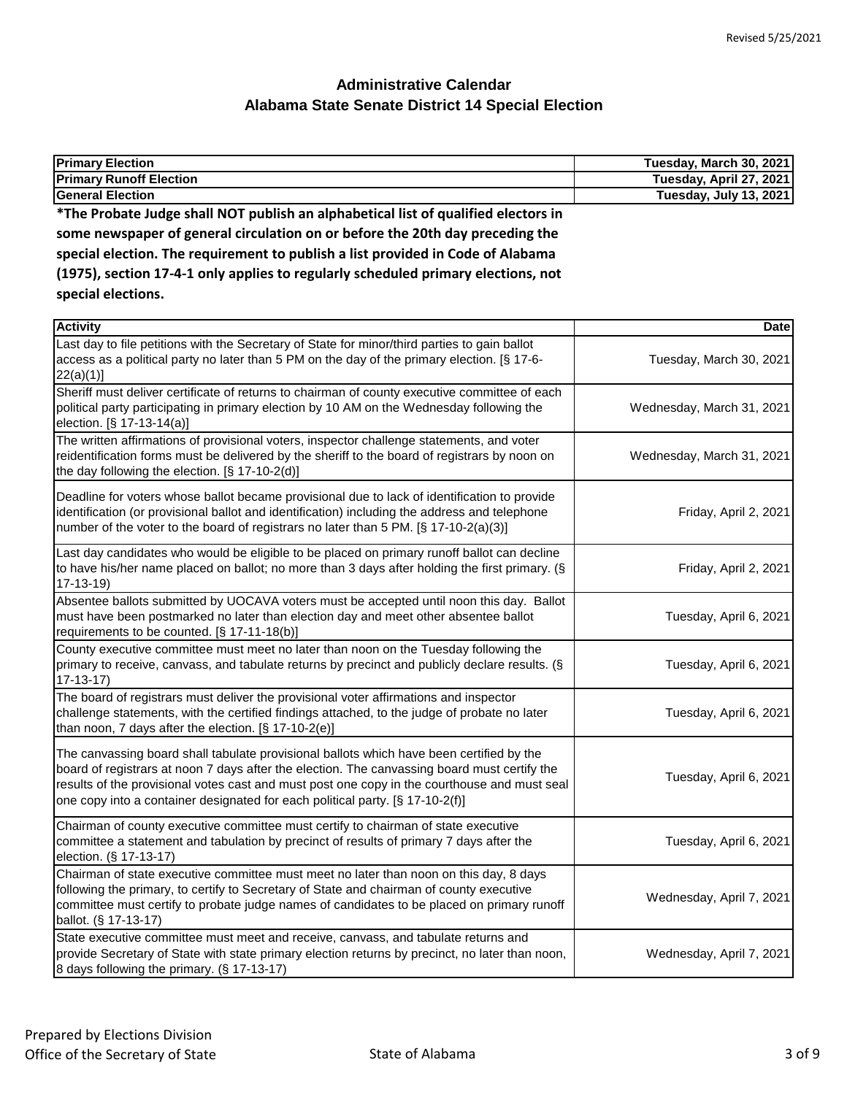| <b>Primary Election</b>                                                            | Tuesday, March 30, 2021 |
|------------------------------------------------------------------------------------|-------------------------|
| <b>Primary Runoff Election</b>                                                     | Tuesday, April 27, 2021 |
| <b>General Election</b>                                                            | Tuesday, July 13, 2021  |
| *The Probate Judge shall NOT publish an alphabetical list of qualified electors in |                         |
| some newspaper of general circulation on or before the 20th day preceding the      |                         |
| special election. The requirement to publish a list provided in Code of Alabama    |                         |
| (1975), section 17-4-1 only applies to regularly scheduled primary elections, not  |                         |
| special elections.                                                                 |                         |
| $A = 1$ and $A = 1$                                                                | <b>D</b> - ( - 1        |
|                                                                                    |                         |

| <b>Activity</b>                                                                                                                                                                                                                                                                                                                                                           | Date                      |
|---------------------------------------------------------------------------------------------------------------------------------------------------------------------------------------------------------------------------------------------------------------------------------------------------------------------------------------------------------------------------|---------------------------|
| Last day to file petitions with the Secretary of State for minor/third parties to gain ballot<br>access as a political party no later than 5 PM on the day of the primary election. [§ 17-6-<br>22(a)(1)]                                                                                                                                                                 | Tuesday, March 30, 2021   |
| Sheriff must deliver certificate of returns to chairman of county executive committee of each<br>political party participating in primary election by 10 AM on the Wednesday following the<br>election. [§ 17-13-14(a)]                                                                                                                                                   | Wednesday, March 31, 2021 |
| The written affirmations of provisional voters, inspector challenge statements, and voter<br>reidentification forms must be delivered by the sheriff to the board of registrars by noon on<br>the day following the election. [§ 17-10-2(d)]                                                                                                                              | Wednesday, March 31, 2021 |
| Deadline for voters whose ballot became provisional due to lack of identification to provide<br>identification (or provisional ballot and identification) including the address and telephone<br>number of the voter to the board of registrars no later than 5 PM. [§ 17-10-2(a)(3)]                                                                                     | Friday, April 2, 2021     |
| Last day candidates who would be eligible to be placed on primary runoff ballot can decline<br>to have his/her name placed on ballot; no more than 3 days after holding the first primary. (§<br>$17-13-19$                                                                                                                                                               | Friday, April 2, 2021     |
| Absentee ballots submitted by UOCAVA voters must be accepted until noon this day. Ballot<br>must have been postmarked no later than election day and meet other absentee ballot<br>requirements to be counted. [§ 17-11-18(b)]                                                                                                                                            | Tuesday, April 6, 2021    |
| County executive committee must meet no later than noon on the Tuesday following the<br>primary to receive, canvass, and tabulate returns by precinct and publicly declare results. (§<br>$17 - 13 - 17$                                                                                                                                                                  | Tuesday, April 6, 2021    |
| The board of registrars must deliver the provisional voter affirmations and inspector<br>challenge statements, with the certified findings attached, to the judge of probate no later<br>than noon, 7 days after the election. [§ 17-10-2(e)]                                                                                                                             | Tuesday, April 6, 2021    |
| The canvassing board shall tabulate provisional ballots which have been certified by the<br>board of registrars at noon 7 days after the election. The canvassing board must certify the<br>results of the provisional votes cast and must post one copy in the courthouse and must seal<br>one copy into a container designated for each political party. [§ 17-10-2(f)] | Tuesday, April 6, 2021    |
| Chairman of county executive committee must certify to chairman of state executive<br>committee a statement and tabulation by precinct of results of primary 7 days after the<br>election. (§ 17-13-17)                                                                                                                                                                   | Tuesday, April 6, 2021    |
| Chairman of state executive committee must meet no later than noon on this day, 8 days<br>following the primary, to certify to Secretary of State and chairman of county executive<br>committee must certify to probate judge names of candidates to be placed on primary runoff<br>ballot. (§ 17-13-17)                                                                  | Wednesday, April 7, 2021  |
| State executive committee must meet and receive, canvass, and tabulate returns and<br>provide Secretary of State with state primary election returns by precinct, no later than noon,<br>8 days following the primary. (§ 17-13-17)                                                                                                                                       | Wednesday, April 7, 2021  |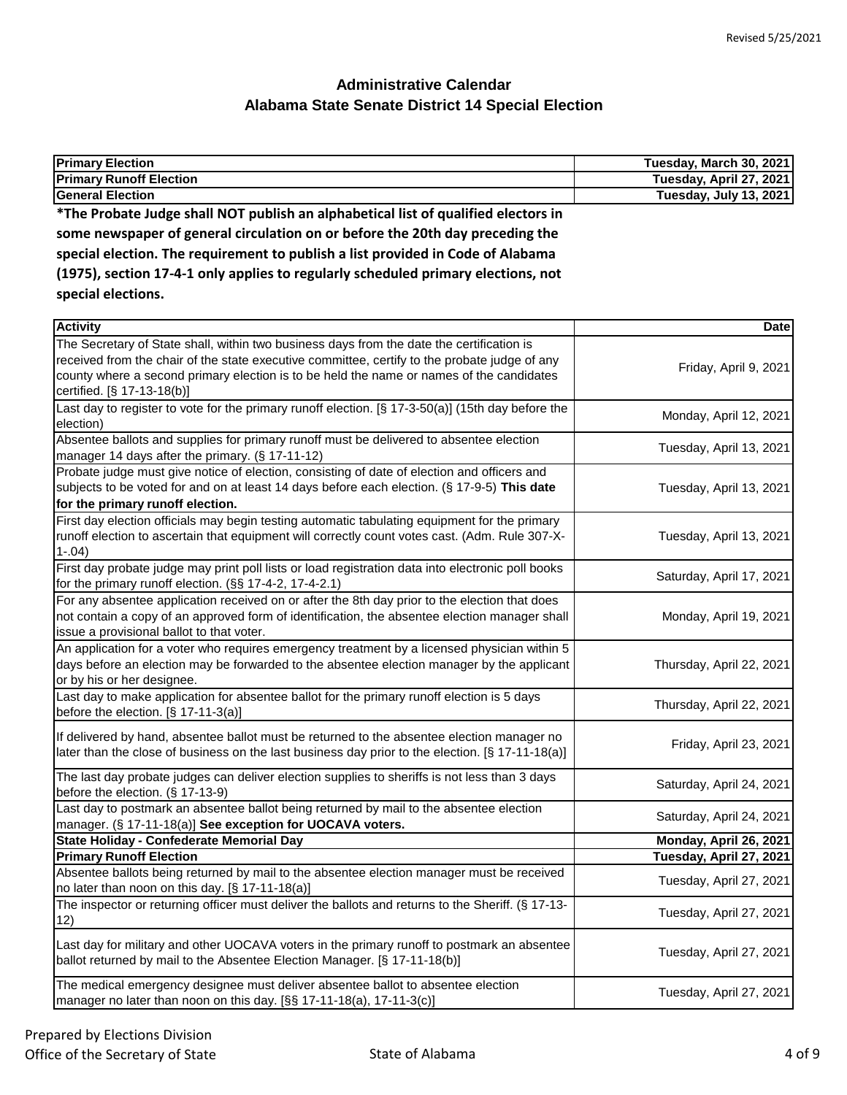| <b>Primary Election</b>                                                            | Tuesday, March 30, 2021 |
|------------------------------------------------------------------------------------|-------------------------|
| <b>Primary Runoff Election</b>                                                     | Tuesday, April 27, 2021 |
| <b>General Election</b>                                                            | Tuesday, July 13, 2021  |
| *The Probate Judge shall NOT publish an alphabetical list of qualified electors in |                         |
| some newspaper of general circulation on or before the 20th day preceding the      |                         |
| special election. The requirement to publish a list provided in Code of Alabama    |                         |
| (1975), section 17-4-1 only applies to regularly scheduled primary elections, not  |                         |
| special elections.                                                                 |                         |
|                                                                                    |                         |

| <b>Activity</b>                                                                                                                                                                                                                                                                                                      | <b>Date</b>              |
|----------------------------------------------------------------------------------------------------------------------------------------------------------------------------------------------------------------------------------------------------------------------------------------------------------------------|--------------------------|
| The Secretary of State shall, within two business days from the date the certification is<br>received from the chair of the state executive committee, certify to the probate judge of any<br>county where a second primary election is to be held the name or names of the candidates<br>certified. [§ 17-13-18(b)] | Friday, April 9, 2021    |
| Last day to register to vote for the primary runoff election. [§ 17-3-50(a)] (15th day before the<br>election)                                                                                                                                                                                                       | Monday, April 12, 2021   |
| Absentee ballots and supplies for primary runoff must be delivered to absentee election<br>manager 14 days after the primary. (§ 17-11-12)                                                                                                                                                                           | Tuesday, April 13, 2021  |
| Probate judge must give notice of election, consisting of date of election and officers and<br>subjects to be voted for and on at least 14 days before each election. (§ 17-9-5) This date<br>for the primary runoff election.                                                                                       | Tuesday, April 13, 2021  |
| First day election officials may begin testing automatic tabulating equipment for the primary<br>runoff election to ascertain that equipment will correctly count votes cast. (Adm. Rule 307-X-<br>$1-.04)$                                                                                                          | Tuesday, April 13, 2021  |
| First day probate judge may print poll lists or load registration data into electronic poll books<br>for the primary runoff election. (§§ 17-4-2, 17-4-2.1)                                                                                                                                                          | Saturday, April 17, 2021 |
| For any absentee application received on or after the 8th day prior to the election that does<br>not contain a copy of an approved form of identification, the absentee election manager shall<br>issue a provisional ballot to that voter.                                                                          | Monday, April 19, 2021   |
| An application for a voter who requires emergency treatment by a licensed physician within 5<br>days before an election may be forwarded to the absentee election manager by the applicant<br>or by his or her designee.                                                                                             | Thursday, April 22, 2021 |
| Last day to make application for absentee ballot for the primary runoff election is 5 days<br>before the election. $[\S 17-11-3(a)]$                                                                                                                                                                                 | Thursday, April 22, 2021 |
| If delivered by hand, absentee ballot must be returned to the absentee election manager no<br>later than the close of business on the last business day prior to the election. [§ 17-11-18(a)]                                                                                                                       | Friday, April 23, 2021   |
| The last day probate judges can deliver election supplies to sheriffs is not less than 3 days<br>before the election. (§ 17-13-9)                                                                                                                                                                                    | Saturday, April 24, 2021 |
| Last day to postmark an absentee ballot being returned by mail to the absentee election<br>manager. (§ 17-11-18(a)] See exception for UOCAVA voters.                                                                                                                                                                 | Saturday, April 24, 2021 |
| State Holiday - Confederate Memorial Day                                                                                                                                                                                                                                                                             | Monday, April 26, 2021   |
| <b>Primary Runoff Election</b>                                                                                                                                                                                                                                                                                       | Tuesday, April 27, 2021  |
| Absentee ballots being returned by mail to the absentee election manager must be received<br>no later than noon on this day. [§ 17-11-18(a)]                                                                                                                                                                         | Tuesday, April 27, 2021  |
| The inspector or returning officer must deliver the ballots and returns to the Sheriff. (§ 17-13-<br>12)                                                                                                                                                                                                             | Tuesday, April 27, 2021  |
| Last day for military and other UOCAVA voters in the primary runoff to postmark an absentee<br>ballot returned by mail to the Absentee Election Manager. [§ 17-11-18(b)]                                                                                                                                             | Tuesday, April 27, 2021  |
| The medical emergency designee must deliver absentee ballot to absentee election<br>manager no later than noon on this day. [§§ 17-11-18(a), 17-11-3(c)]                                                                                                                                                             | Tuesday, April 27, 2021  |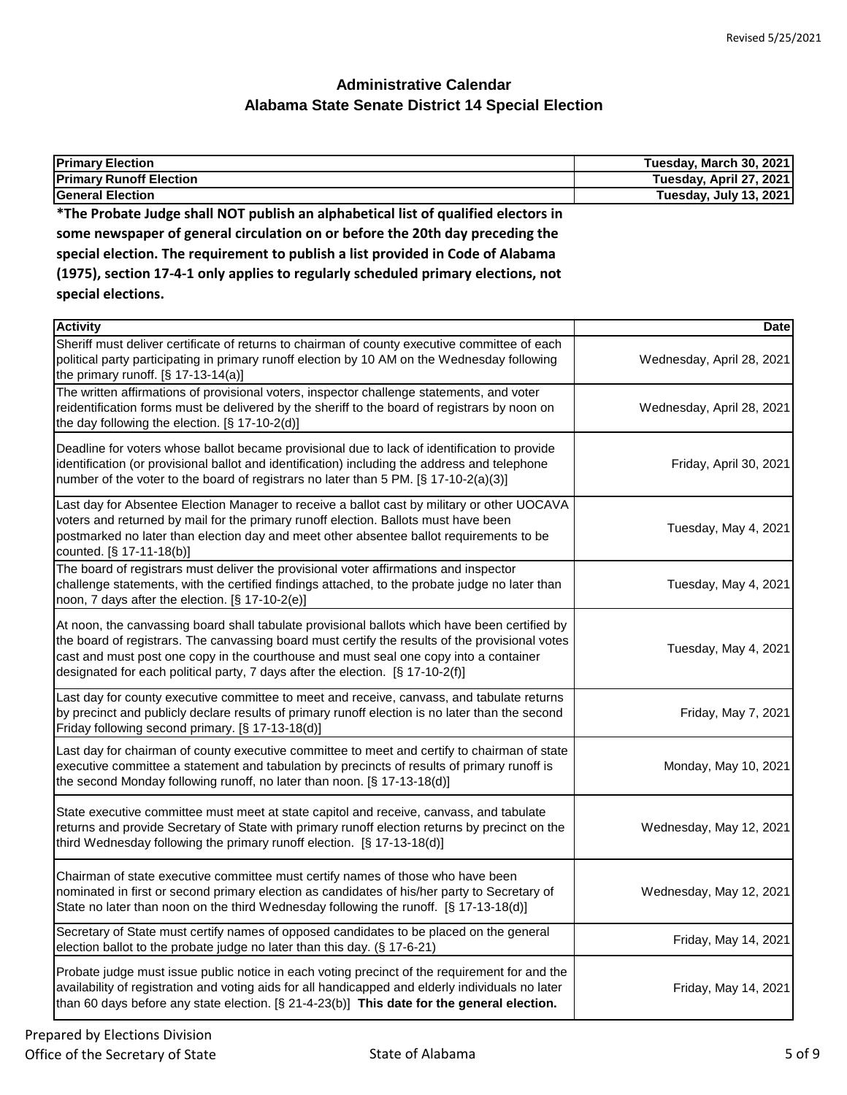| <b>Primary Election</b>                                                                                                                                                                                                                                                                                                                                                     | Tuesday, March 30, 2021   |
|-----------------------------------------------------------------------------------------------------------------------------------------------------------------------------------------------------------------------------------------------------------------------------------------------------------------------------------------------------------------------------|---------------------------|
| <b>Primary Runoff Election</b>                                                                                                                                                                                                                                                                                                                                              | Tuesday, April 27, 2021   |
| <b>General Election</b>                                                                                                                                                                                                                                                                                                                                                     | Tuesday, July 13, 2021    |
| *The Probate Judge shall NOT publish an alphabetical list of qualified electors in                                                                                                                                                                                                                                                                                          |                           |
| some newspaper of general circulation on or before the 20th day preceding the                                                                                                                                                                                                                                                                                               |                           |
| special election. The requirement to publish a list provided in Code of Alabama                                                                                                                                                                                                                                                                                             |                           |
| (1975), section 17-4-1 only applies to regularly scheduled primary elections, not                                                                                                                                                                                                                                                                                           |                           |
| special elections.                                                                                                                                                                                                                                                                                                                                                          |                           |
|                                                                                                                                                                                                                                                                                                                                                                             |                           |
| <b>Activity</b>                                                                                                                                                                                                                                                                                                                                                             | Date                      |
| Sheriff must deliver certificate of returns to chairman of county executive committee of each<br>political party participating in primary runoff election by 10 AM on the Wednesday following<br>the primary runoff. $[§ 17-13-14(a)]$                                                                                                                                      | Wednesday, April 28, 2021 |
| The written affirmations of provisional voters, inspector challenge statements, and voter                                                                                                                                                                                                                                                                                   |                           |
| reidentification forms must be delivered by the sheriff to the board of registrars by noon on<br>the day following the election. [§ 17-10-2(d)]                                                                                                                                                                                                                             | Wednesday, April 28, 2021 |
| Deadline for voters whose ballot became provisional due to lack of identification to provide<br>identification (or provisional ballot and identification) including the address and telephone<br>number of the voter to the board of registrars no later than 5 PM. [§ 17-10-2(a)(3)]                                                                                       | Friday, April 30, 2021    |
| Last day for Absentee Election Manager to receive a ballot cast by military or other UOCAVA<br>voters and returned by mail for the primary runoff election. Ballots must have been<br>postmarked no later than election day and meet other absentee ballot requirements to be<br>counted. [§ 17-11-18(b)]                                                                   | Tuesday, May 4, 2021      |
| The board of registrars must deliver the provisional voter affirmations and inspector<br>challenge statements, with the certified findings attached, to the probate judge no later than<br>noon, 7 days after the election. [§ 17-10-2(e)]                                                                                                                                  | Tuesday, May 4, 2021      |
| At noon, the canvassing board shall tabulate provisional ballots which have been certified by<br>the board of registrars. The canvassing board must certify the results of the provisional votes<br>cast and must post one copy in the courthouse and must seal one copy into a container<br>designated for each political party, 7 days after the election. [§ 17-10-2(f)] | Tuesday, May 4, 2021      |
| Last day for county executive committee to meet and receive, canvass, and tabulate returns<br>by precinct and publicly declare results of primary runoff election is no later than the second<br>Friday following second primary. [§ 17-13-18(d)]                                                                                                                           | Friday, May 7, 2021       |
| Last day for chairman of county executive committee to meet and certify to chairman of state<br>executive committee a statement and tabulation by precincts of results of primary runoff is<br>the second Monday following runoff, no later than noon. [§ 17-13-18(d)]                                                                                                      | Monday, May 10, 2021      |
| State executive committee must meet at state capitol and receive, canvass, and tabulate<br>returns and provide Secretary of State with primary runoff election returns by precinct on the<br>third Wednesday following the primary runoff election. [§ 17-13-18(d)]                                                                                                         | Wednesday, May 12, 2021   |
| Chairman of state executive committee must certify names of those who have been<br>nominated in first or second primary election as candidates of his/her party to Secretary of<br>State no later than noon on the third Wednesday following the runoff. [§ 17-13-18(d)]                                                                                                    | Wednesday, May 12, 2021   |
| Secretary of State must certify names of opposed candidates to be placed on the general<br>election ballot to the probate judge no later than this day. (§ 17-6-21)                                                                                                                                                                                                         | Friday, May 14, 2021      |
| Probate judge must issue public notice in each voting precinct of the requirement for and the<br>availability of registration and voting aids for all handicapped and elderly individuals no later<br>than 60 days before any state election. $[\S 21-4-23(b)]$ This date for the general election.                                                                         | Friday, May 14, 2021      |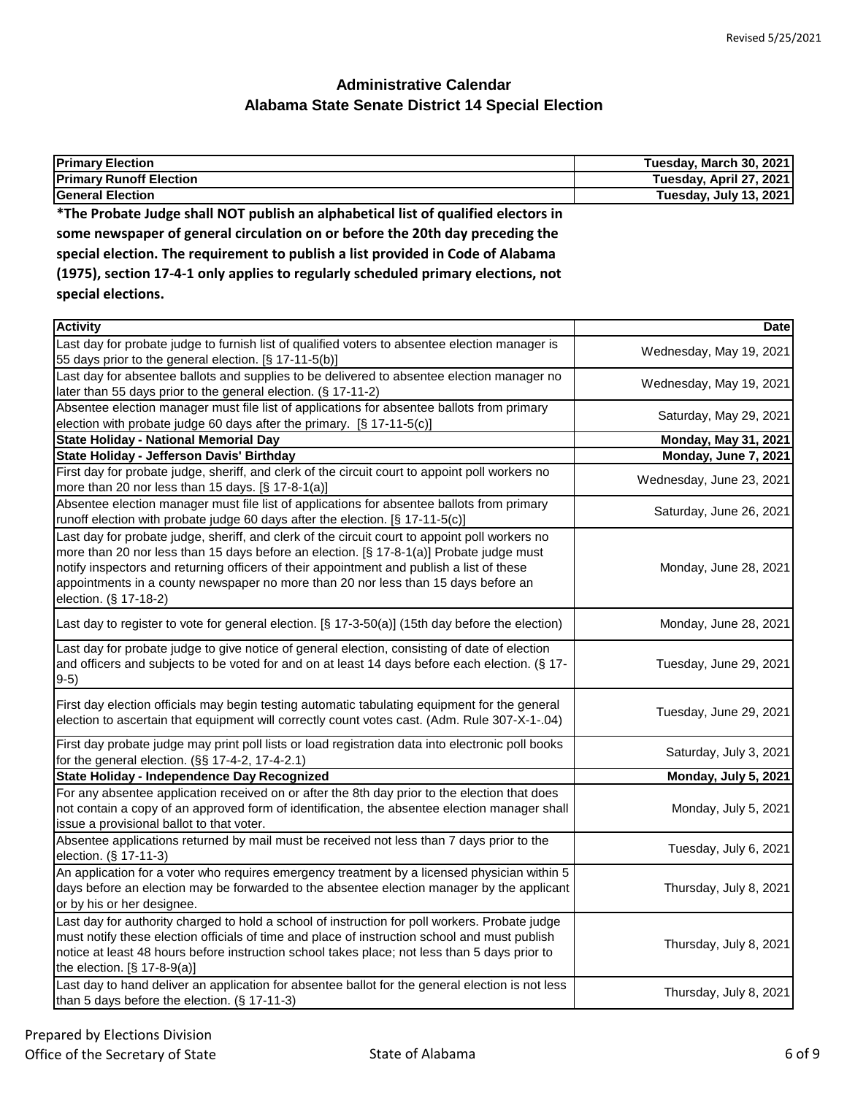| <b>Primary Election</b>                                                                                           | Tuesday, March 30, 2021 |
|-------------------------------------------------------------------------------------------------------------------|-------------------------|
| <b>Primary Runoff Election</b>                                                                                    | Tuesday, April 27, 2021 |
| <b>General Election</b>                                                                                           | Tuesday, July 13, 2021  |
| *The Probate Judge shall NOT publish an alphabetical list of qualified electors in                                |                         |
| الناقل الشمار التقارب المتحل المتحل المستقرح والمتحل والمتحل والمستقر والمتحل والمستقر والمتحل والمستقرة والمستقر |                         |

**some newspaper of general circulation on or before the 20th day preceding the special election. The requirement to publish a list provided in Code of Alabama (1975), section 17-4-1 only applies to regularly scheduled primary elections, not special elections.**

| <b>Activity</b>                                                                                                                                                                                                                                                                                                                                                                                       | <b>Date</b>                 |
|-------------------------------------------------------------------------------------------------------------------------------------------------------------------------------------------------------------------------------------------------------------------------------------------------------------------------------------------------------------------------------------------------------|-----------------------------|
| Last day for probate judge to furnish list of qualified voters to absentee election manager is<br>55 days prior to the general election. [§ 17-11-5(b)]                                                                                                                                                                                                                                               | Wednesday, May 19, 2021     |
| Last day for absentee ballots and supplies to be delivered to absentee election manager no<br>later than 55 days prior to the general election. (§ 17-11-2)                                                                                                                                                                                                                                           | Wednesday, May 19, 2021     |
| Absentee election manager must file list of applications for absentee ballots from primary<br>election with probate judge 60 days after the primary. [§ 17-11-5(c)]                                                                                                                                                                                                                                   | Saturday, May 29, 2021      |
| <b>State Holiday - National Memorial Day</b>                                                                                                                                                                                                                                                                                                                                                          | <b>Monday, May 31, 2021</b> |
| State Holiday - Jefferson Davis' Birthday                                                                                                                                                                                                                                                                                                                                                             | Monday, June 7, 2021        |
| First day for probate judge, sheriff, and clerk of the circuit court to appoint poll workers no<br>more than 20 nor less than 15 days. [§ 17-8-1(a)]                                                                                                                                                                                                                                                  | Wednesday, June 23, 2021    |
| Absentee election manager must file list of applications for absentee ballots from primary<br>runoff election with probate judge 60 days after the election. [§ 17-11-5(c)]                                                                                                                                                                                                                           | Saturday, June 26, 2021     |
| Last day for probate judge, sheriff, and clerk of the circuit court to appoint poll workers no<br>more than 20 nor less than 15 days before an election. [§ 17-8-1(a)] Probate judge must<br>notify inspectors and returning officers of their appointment and publish a list of these<br>appointments in a county newspaper no more than 20 nor less than 15 days before an<br>election. (§ 17-18-2) | Monday, June 28, 2021       |
| Last day to register to vote for general election. [§ 17-3-50(a)] (15th day before the election)                                                                                                                                                                                                                                                                                                      | Monday, June 28, 2021       |
| Last day for probate judge to give notice of general election, consisting of date of election<br>and officers and subjects to be voted for and on at least 14 days before each election. (§ 17-<br>$9-5)$                                                                                                                                                                                             | Tuesday, June 29, 2021      |
| First day election officials may begin testing automatic tabulating equipment for the general<br>election to ascertain that equipment will correctly count votes cast. (Adm. Rule 307-X-1-.04)                                                                                                                                                                                                        | Tuesday, June 29, 2021      |
| First day probate judge may print poll lists or load registration data into electronic poll books<br>for the general election. (§§ 17-4-2, 17-4-2.1)                                                                                                                                                                                                                                                  | Saturday, July 3, 2021      |
| State Holiday - Independence Day Recognized                                                                                                                                                                                                                                                                                                                                                           | Monday, July 5, 2021        |
| For any absentee application received on or after the 8th day prior to the election that does<br>not contain a copy of an approved form of identification, the absentee election manager shall<br>issue a provisional ballot to that voter.                                                                                                                                                           | Monday, July 5, 2021        |
| Absentee applications returned by mail must be received not less than 7 days prior to the<br>election. (§ 17-11-3)                                                                                                                                                                                                                                                                                    | Tuesday, July 6, 2021       |
| An application for a voter who requires emergency treatment by a licensed physician within 5<br>days before an election may be forwarded to the absentee election manager by the applicant<br>or by his or her designee.                                                                                                                                                                              | Thursday, July 8, 2021      |
| Last day for authority charged to hold a school of instruction for poll workers. Probate judge<br>must notify these election officials of time and place of instruction school and must publish<br>notice at least 48 hours before instruction school takes place; not less than 5 days prior to<br>the election. $[§ 17-8-9(a)]$                                                                     | Thursday, July 8, 2021      |
| Last day to hand deliver an application for absentee ballot for the general election is not less<br>than 5 days before the election. (§ 17-11-3)                                                                                                                                                                                                                                                      | Thursday, July 8, 2021      |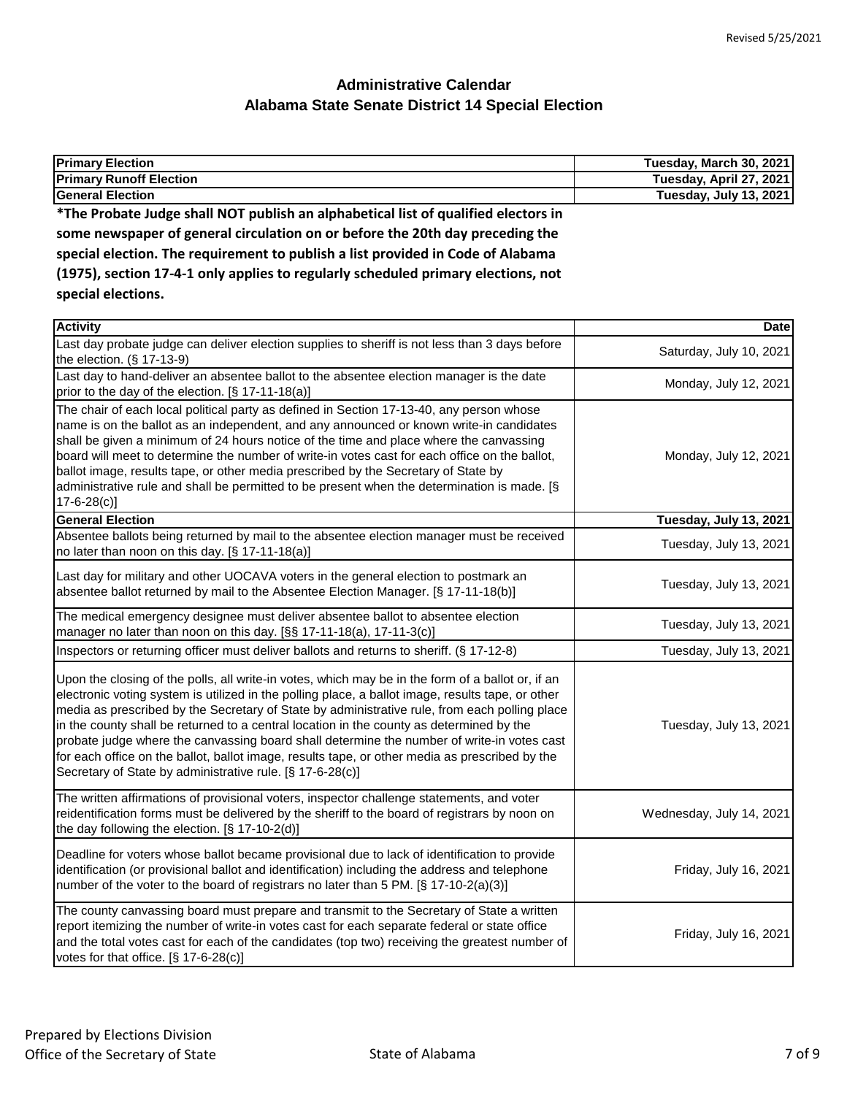| <b>Primary Election</b>                                                                                         | Tuesday, March 30, 2021 |
|-----------------------------------------------------------------------------------------------------------------|-------------------------|
| <b>Primary Runoff Election</b>                                                                                  | Tuesday, April 27, 2021 |
| <b>General Election</b>                                                                                         | Tuesday, July 13, 2021  |
| *The Probate Judge shall NOT publish an alphabetical list of qualified electors in                              |                         |
| the company of the company of the company of the following and the company of the company of the company of the |                         |

**some newspaper of general circulation on or before the 20th day preceding the special election. The requirement to publish a list provided in Code of Alabama (1975), section 17-4-1 only applies to regularly scheduled primary elections, not special elections.**

| <b>Activity</b>                                                                                                                                                                                                                                                                                                                                                                                                                                                                                                                                                                                                                                                  | <b>Date</b>              |
|------------------------------------------------------------------------------------------------------------------------------------------------------------------------------------------------------------------------------------------------------------------------------------------------------------------------------------------------------------------------------------------------------------------------------------------------------------------------------------------------------------------------------------------------------------------------------------------------------------------------------------------------------------------|--------------------------|
| Last day probate judge can deliver election supplies to sheriff is not less than 3 days before<br>the election. $(\S 17-13-9)$                                                                                                                                                                                                                                                                                                                                                                                                                                                                                                                                   | Saturday, July 10, 2021  |
| Last day to hand-deliver an absentee ballot to the absentee election manager is the date<br>prior to the day of the election. [§ 17-11-18(a)]                                                                                                                                                                                                                                                                                                                                                                                                                                                                                                                    | Monday, July 12, 2021    |
| The chair of each local political party as defined in Section 17-13-40, any person whose<br>name is on the ballot as an independent, and any announced or known write-in candidates<br>shall be given a minimum of 24 hours notice of the time and place where the canvassing<br>board will meet to determine the number of write-in votes cast for each office on the ballot,<br>ballot image, results tape, or other media prescribed by the Secretary of State by<br>administrative rule and shall be permitted to be present when the determination is made. [§<br>$17 - 6 - 28(c)$                                                                          | Monday, July 12, 2021    |
| <b>General Election</b>                                                                                                                                                                                                                                                                                                                                                                                                                                                                                                                                                                                                                                          | Tuesday, July 13, 2021   |
| Absentee ballots being returned by mail to the absentee election manager must be received<br>no later than noon on this day. [§ 17-11-18(a)]                                                                                                                                                                                                                                                                                                                                                                                                                                                                                                                     | Tuesday, July 13, 2021   |
| Last day for military and other UOCAVA voters in the general election to postmark an<br>absentee ballot returned by mail to the Absentee Election Manager. [§ 17-11-18(b)]                                                                                                                                                                                                                                                                                                                                                                                                                                                                                       | Tuesday, July 13, 2021   |
| The medical emergency designee must deliver absentee ballot to absentee election<br>manager no later than noon on this day. [§§ 17-11-18(a), 17-11-3(c)]                                                                                                                                                                                                                                                                                                                                                                                                                                                                                                         | Tuesday, July 13, 2021   |
| Inspectors or returning officer must deliver ballots and returns to sheriff. (§ 17-12-8)                                                                                                                                                                                                                                                                                                                                                                                                                                                                                                                                                                         | Tuesday, July 13, 2021   |
| Upon the closing of the polls, all write-in votes, which may be in the form of a ballot or, if an<br>electronic voting system is utilized in the polling place, a ballot image, results tape, or other<br>media as prescribed by the Secretary of State by administrative rule, from each polling place<br>in the county shall be returned to a central location in the county as determined by the<br>probate judge where the canvassing board shall determine the number of write-in votes cast<br>for each office on the ballot, ballot image, results tape, or other media as prescribed by the<br>Secretary of State by administrative rule. [§ 17-6-28(c)] | Tuesday, July 13, 2021   |
| The written affirmations of provisional voters, inspector challenge statements, and voter<br>reidentification forms must be delivered by the sheriff to the board of registrars by noon on<br>the day following the election. [§ 17-10-2(d)]                                                                                                                                                                                                                                                                                                                                                                                                                     | Wednesday, July 14, 2021 |
| Deadline for voters whose ballot became provisional due to lack of identification to provide<br>identification (or provisional ballot and identification) including the address and telephone<br>number of the voter to the board of registrars no later than 5 PM. [§ 17-10-2(a)(3)]                                                                                                                                                                                                                                                                                                                                                                            | Friday, July 16, 2021    |
| The county canvassing board must prepare and transmit to the Secretary of State a written<br>report itemizing the number of write-in votes cast for each separate federal or state office<br>and the total votes cast for each of the candidates (top two) receiving the greatest number of<br>votes for that office. $[\S 17-6-28(c)]$                                                                                                                                                                                                                                                                                                                          | Friday, July 16, 2021    |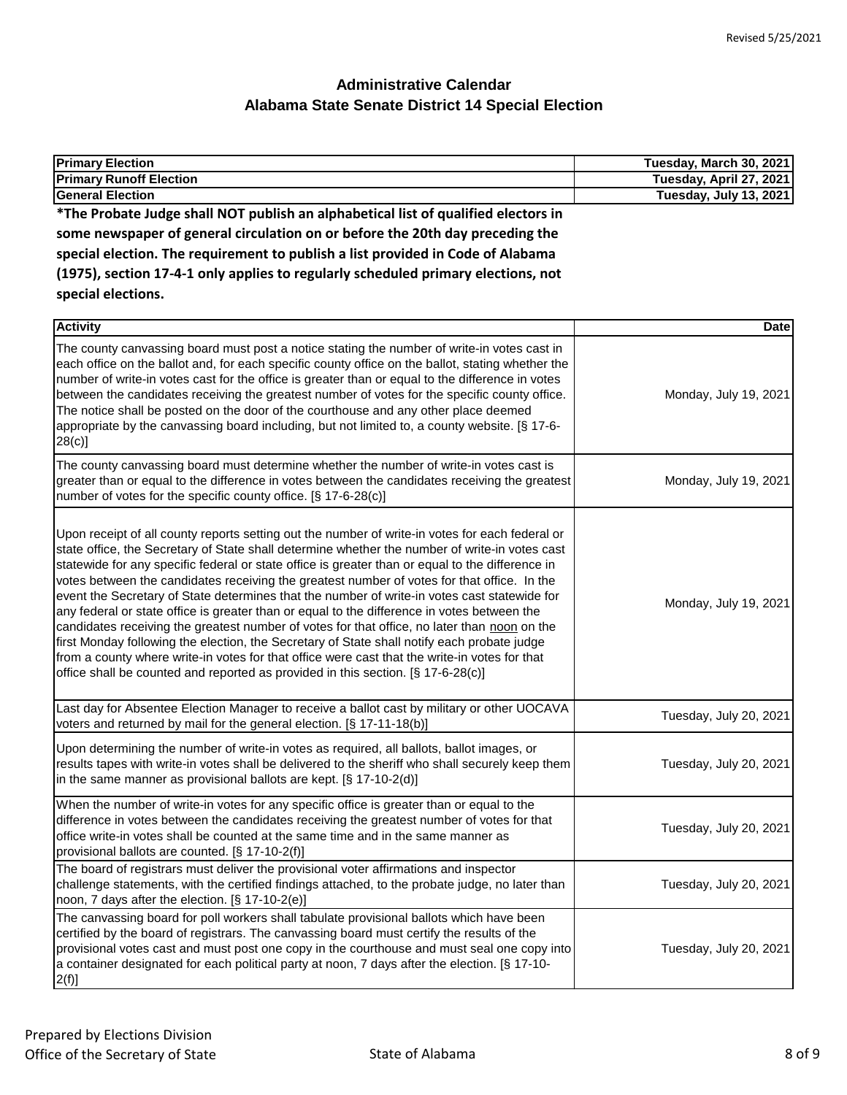| <b>Primary Election</b>                                                                                                                                                                                                                                                                                                                                                                                                                                                                                                                                                                                                                                                                                                                                                                                                                                                                                                                                                                 | Tuesday, March 30, 2021 |
|-----------------------------------------------------------------------------------------------------------------------------------------------------------------------------------------------------------------------------------------------------------------------------------------------------------------------------------------------------------------------------------------------------------------------------------------------------------------------------------------------------------------------------------------------------------------------------------------------------------------------------------------------------------------------------------------------------------------------------------------------------------------------------------------------------------------------------------------------------------------------------------------------------------------------------------------------------------------------------------------|-------------------------|
| <b>Primary Runoff Election</b>                                                                                                                                                                                                                                                                                                                                                                                                                                                                                                                                                                                                                                                                                                                                                                                                                                                                                                                                                          | Tuesday, April 27, 2021 |
| <b>General Election</b>                                                                                                                                                                                                                                                                                                                                                                                                                                                                                                                                                                                                                                                                                                                                                                                                                                                                                                                                                                 | Tuesday, July 13, 2021  |
| *The Probate Judge shall NOT publish an alphabetical list of qualified electors in                                                                                                                                                                                                                                                                                                                                                                                                                                                                                                                                                                                                                                                                                                                                                                                                                                                                                                      |                         |
| some newspaper of general circulation on or before the 20th day preceding the                                                                                                                                                                                                                                                                                                                                                                                                                                                                                                                                                                                                                                                                                                                                                                                                                                                                                                           |                         |
| special election. The requirement to publish a list provided in Code of Alabama                                                                                                                                                                                                                                                                                                                                                                                                                                                                                                                                                                                                                                                                                                                                                                                                                                                                                                         |                         |
| (1975), section 17-4-1 only applies to regularly scheduled primary elections, not                                                                                                                                                                                                                                                                                                                                                                                                                                                                                                                                                                                                                                                                                                                                                                                                                                                                                                       |                         |
| special elections.                                                                                                                                                                                                                                                                                                                                                                                                                                                                                                                                                                                                                                                                                                                                                                                                                                                                                                                                                                      |                         |
|                                                                                                                                                                                                                                                                                                                                                                                                                                                                                                                                                                                                                                                                                                                                                                                                                                                                                                                                                                                         |                         |
| <b>Activity</b>                                                                                                                                                                                                                                                                                                                                                                                                                                                                                                                                                                                                                                                                                                                                                                                                                                                                                                                                                                         | <b>Date</b>             |
| The county canvassing board must post a notice stating the number of write-in votes cast in<br>each office on the ballot and, for each specific county office on the ballot, stating whether the<br>number of write-in votes cast for the office is greater than or equal to the difference in votes<br>between the candidates receiving the greatest number of votes for the specific county office.<br>The notice shall be posted on the door of the courthouse and any other place deemed<br>appropriate by the canvassing board including, but not limited to, a county website. [§ 17-6-<br>$28(c)$ ]                                                                                                                                                                                                                                                                                                                                                                              | Monday, July 19, 2021   |
| The county canvassing board must determine whether the number of write-in votes cast is<br>greater than or equal to the difference in votes between the candidates receiving the greatest<br>number of votes for the specific county office. [§ 17-6-28(c)]                                                                                                                                                                                                                                                                                                                                                                                                                                                                                                                                                                                                                                                                                                                             | Monday, July 19, 2021   |
| Upon receipt of all county reports setting out the number of write-in votes for each federal or<br>state office, the Secretary of State shall determine whether the number of write-in votes cast<br>statewide for any specific federal or state office is greater than or equal to the difference in<br>votes between the candidates receiving the greatest number of votes for that office. In the<br>event the Secretary of State determines that the number of write-in votes cast statewide for<br>any federal or state office is greater than or equal to the difference in votes between the<br>candidates receiving the greatest number of votes for that office, no later than noon on the<br>first Monday following the election, the Secretary of State shall notify each probate judge<br>from a county where write-in votes for that office were cast that the write-in votes for that<br>office shall be counted and reported as provided in this section. [§ 17-6-28(c)] | Monday, July 19, 2021   |
| Last day for Absentee Election Manager to receive a ballot cast by military or other UOCAVA<br>voters and returned by mail for the general election. [§ 17-11-18(b)]                                                                                                                                                                                                                                                                                                                                                                                                                                                                                                                                                                                                                                                                                                                                                                                                                    | Tuesday, July 20, 2021  |
| Upon determining the number of write-in votes as required, all ballots, ballot images, or<br>results tapes with write-in votes shall be delivered to the sheriff who shall securely keep them<br>in the same manner as provisional ballots are kept. $[\S 17-10-2(d)]$                                                                                                                                                                                                                                                                                                                                                                                                                                                                                                                                                                                                                                                                                                                  | Tuesday, July 20, 2021  |
| When the number of write-in votes for any specific office is greater than or equal to the<br>difference in votes between the candidates receiving the greatest number of votes for that<br>office write-in votes shall be counted at the same time and in the same manner as<br>provisional ballots are counted. [§ 17-10-2(f)]                                                                                                                                                                                                                                                                                                                                                                                                                                                                                                                                                                                                                                                         | Tuesday, July 20, 2021  |
| The board of registrars must deliver the provisional voter affirmations and inspector<br>challenge statements, with the certified findings attached, to the probate judge, no later than<br>noon, 7 days after the election. [§ 17-10-2(e)]                                                                                                                                                                                                                                                                                                                                                                                                                                                                                                                                                                                                                                                                                                                                             | Tuesday, July 20, 2021  |
| The canvassing board for poll workers shall tabulate provisional ballots which have been<br>certified by the board of registrars. The canvassing board must certify the results of the<br>provisional votes cast and must post one copy in the courthouse and must seal one copy into<br>a container designated for each political party at noon, 7 days after the election. [§ 17-10-<br>$2(f)$ ]                                                                                                                                                                                                                                                                                                                                                                                                                                                                                                                                                                                      | Tuesday, July 20, 2021  |